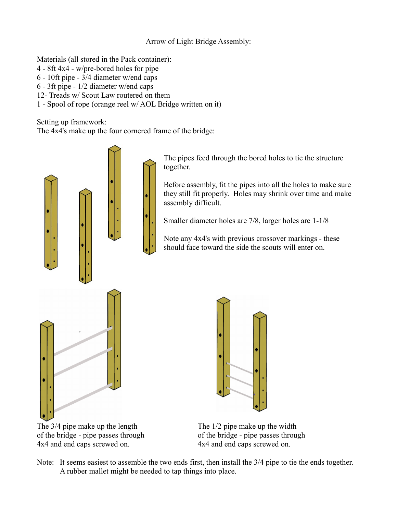## Arrow of Light Bridge Assembly:

Materials (all stored in the Pack container):

- 4 8ft 4x4 w/pre-bored holes for pipe
- 6 10ft pipe 3/4 diameter w/end caps
- 6 3ft pipe 1/2 diameter w/end caps
- 12- Treads w/ Scout Law routered on them
- 1 Spool of rope (orange reel w/ AOL Bridge written on it)

Setting up framework:

The 4x4's make up the four cornered frame of the bridge:



The 3/4 pipe make up the length The 1/2 pipe make up the width of the bridge - pipe passes through of the bridge - pipe passes through 4x4 and end caps screwed on. 4x4 and end caps screwed on.

Note: It seems easiest to assemble the two ends first, then install the 3/4 pipe to tie the ends together. A rubber mallet might be needed to tap things into place.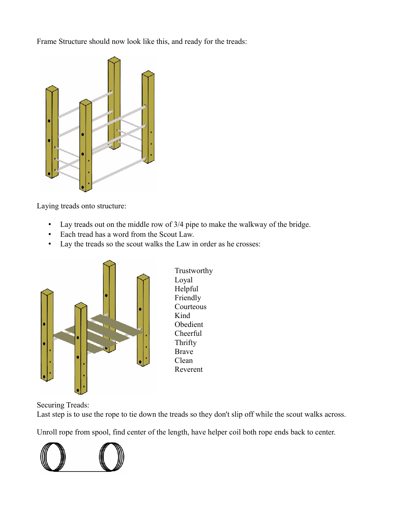Frame Structure should now look like this, and ready for the treads:



Laying treads onto structure:

- Lay treads out on the middle row of 3/4 pipe to make the walkway of the bridge.
- Each tread has a word from the Scout Law.
- Lay the treads so the scout walks the Law in order as he crosses:



Securing Treads:

Last step is to use the rope to tie down the treads so they don't slip off while the scout walks across.

Unroll rope from spool, find center of the length, have helper coil both rope ends back to center.